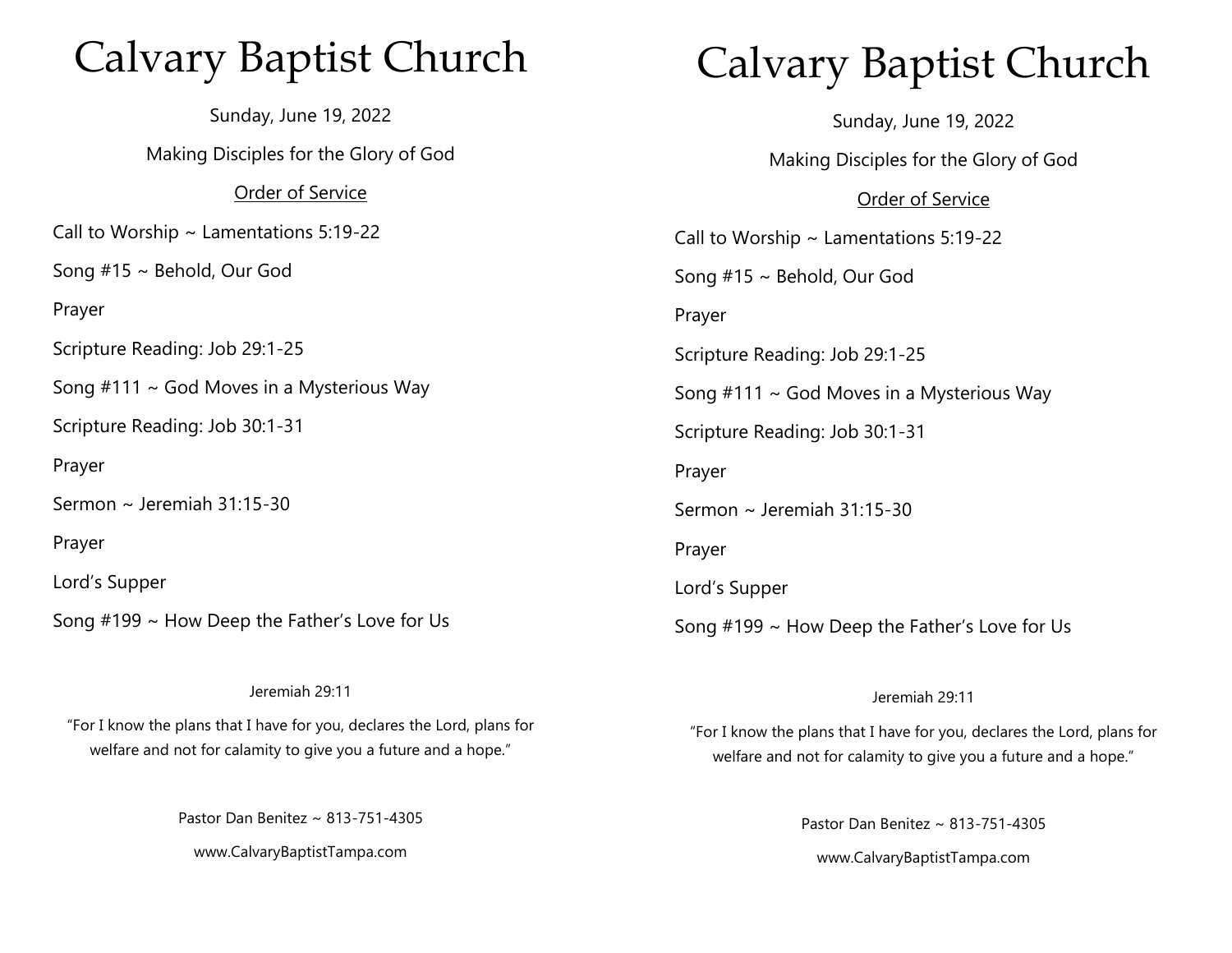## Calvary Baptist Church

Sunday, June 19, 2022 Making Disciples for the Glory of God Order of Service Call to Worship ~ Lamentations 5:19-22 Song #15 ~ Behold, Our God Prayer Scripture Reading: Job 29:1-25 Song  $#111 \sim$  God Moves in a Mysterious Way Scripture Reading: Job 30:1-31 Prayer Sermon ~ Jeremiah 31:15-30 Prayer Lord's Supper Song #199 ~ How Deep the Father's Love for Us

#### Jeremiah 29:11

"For I know the plans that I have for you, declares the Lord, plans for welfare and not for calamity to give you a future and a hope."

Pastor Dan Benitez ~ 813-751-4305

www.CalvaryBaptistTampa.com

# Calvary Baptist Church

Sunday, June 19, 2022 Making Disciples for the Glory of God Order of Service Call to Worship  $\sim$  Lamentations 5:19-22 Song #15 ~ Behold, Our God Prayer Scripture Reading: Job 29:1-25 Song  $#111 \sim$  God Moves in a Mysterious Way Scripture Reading: Job 30:1-31 Prayer Sermon ~ Jeremiah 31:15-30 Prayer Lord's Supper Song #199 ~ How Deep the Father's Love for Us

#### Jeremiah 29:11

"For I know the plans that I have for you, declares the Lord, plans for welfare and not for calamity to give you a future and a hope."

> Pastor Dan Benitez ~ 813-751-4305 www.CalvaryBaptistTampa.com